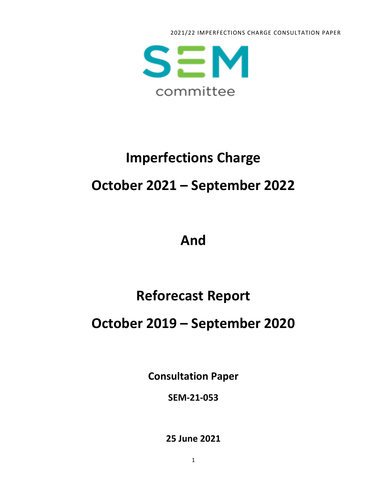2021/22 IMPERFECTIONS CHARGE CONSULTATION PAPER



# **Imperfections Charge October 2021 – September 2022**

## **And**

# **Reforecast Report**

### **October 2019 – September 2020**

**Consultation Paper**

**SEM-21-053**

**25 June 2021**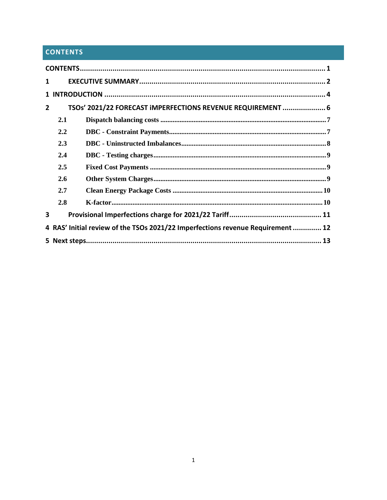### <span id="page-1-0"></span>**CONTENTS**

| 1              |            |                                                                                 |  |  |  |  |
|----------------|------------|---------------------------------------------------------------------------------|--|--|--|--|
|                |            |                                                                                 |  |  |  |  |
| $\overline{2}$ |            | TSOs' 2021/22 FORECAST IMPERFECTIONS REVENUE REQUIREMENT  6                     |  |  |  |  |
|                | 2.1        |                                                                                 |  |  |  |  |
|                | 2.2        |                                                                                 |  |  |  |  |
|                | 2.3        |                                                                                 |  |  |  |  |
|                | 2.4        |                                                                                 |  |  |  |  |
|                | 2.5        |                                                                                 |  |  |  |  |
|                | <b>2.6</b> |                                                                                 |  |  |  |  |
|                | 2.7        |                                                                                 |  |  |  |  |
|                | 2.8        |                                                                                 |  |  |  |  |
| 3              |            |                                                                                 |  |  |  |  |
|                |            | 4 RAS' Initial review of the TSOs 2021/22 Imperfections revenue Requirement  12 |  |  |  |  |
|                |            |                                                                                 |  |  |  |  |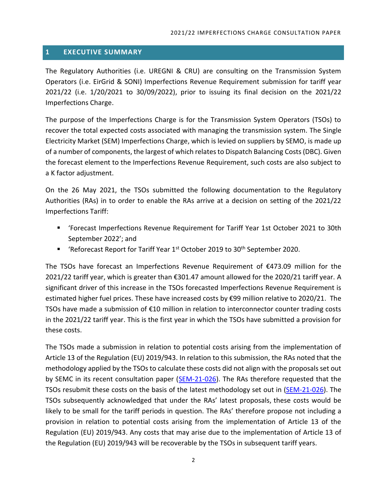#### <span id="page-2-0"></span>**1 EXECUTIVE SUMMARY**

The Regulatory Authorities (i.e. UREGNI & CRU) are consulting on the Transmission System Operators (i.e. EirGrid & SONI) Imperfections Revenue Requirement submission for tariff year 2021/22 (i.e. 1/20/2021 to 30/09/2022), prior to issuing its final decision on the 2021/22 Imperfections Charge.

The purpose of the Imperfections Charge is for the Transmission System Operators (TSOs) to recover the total expected costs associated with managing the transmission system. The Single Electricity Market (SEM) Imperfections Charge, which is levied on suppliers by SEMO, is made up of a number of components, the largest of which relates to Dispatch Balancing Costs (DBC). Given the forecast element to the Imperfections Revenue Requirement, such costs are also subject to a K factor adjustment.

On the 26 May 2021, the TSOs submitted the following documentation to the Regulatory Authorities (RAs) in to order to enable the RAs arrive at a decision on setting of the 2021/22 Imperfections Tariff:

- 'Forecast Imperfections Revenue Requirement for Tariff Year 1st October 2021 to 30th September 2022'; and
- 'Reforecast Report for Tariff Year  $1<sup>st</sup>$  October 2019 to 30<sup>th</sup> September 2020.

The TSOs have forecast an Imperfections Revenue Requirement of €473.09 million for the 2021/22 tariff year, which is greater than €301.47 amount allowed for the 2020/21 tariff year. A significant driver of this increase in the TSOs forecasted Imperfections Revenue Requirement is estimated higher fuel prices. These have increased costs by €99 million relative to 2020/21. The TSOs have made a submission of €10 million in relation to interconnector counter trading costs in the 2021/22 tariff year. This is the first year in which the TSOs have submitted a provision for these costs.

The TSOs made a submission in relation to potential costs arising from the implementation of Article 13 of the Regulation (EU) 2019/943. In relation to this submission, the RAs noted that the methodology applied by the TSOs to calculate these costs did not align with the proposals set out by SEMC in its recent consultation paper [\(SEM-21-026\)](https://www.semcommittee.com/sites/semc/files/media-files/SEM-21-026%20Consultation%20on%20Dispatch%2C%20Redispatch%20and%20Compensation%20Pursuant%20to%20Regulation%20EU%202019943.pdf). The RAs therefore requested that the TSOs resubmit these costs on the basis of the latest methodology set out in [\(SEM-21-026\)](https://www.semcommittee.com/sites/semc/files/media-files/SEM-21-026%20Consultation%20on%20Dispatch%2C%20Redispatch%20and%20Compensation%20Pursuant%20to%20Regulation%20EU%202019943.pdf). The TSOs subsequently acknowledged that under the RAs' latest proposals, these costs would be likely to be small for the tariff periods in question. The RAs' therefore propose not including a provision in relation to potential costs arising from the implementation of Article 13 of the Regulation (EU) 2019/943. Any costs that may arise due to the implementation of Article 13 of the Regulation (EU) 2019/943 will be recoverable by the TSOs in subsequent tariff years.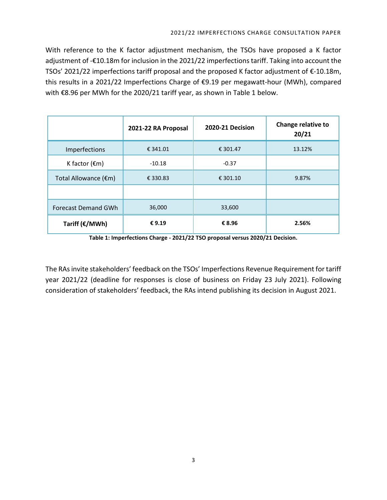With reference to the K factor adjustment mechanism, the TSOs have proposed a K factor adjustment of -€10.18m for inclusion in the 2021/22 imperfections tariff. Taking into account the TSOs' 2021/22 imperfections tariff proposal and the proposed K factor adjustment of €-10.18m, this results in a 2021/22 Imperfections Charge of €9.19 per megawatt-hour (MWh), compared with €8.96 per MWh for the 2020/21 tariff year, as shown in Table 1 below.

|                            | 2021-22 RA Proposal | 2020-21 Decision | Change relative to<br>20/21 |
|----------------------------|---------------------|------------------|-----------------------------|
| Imperfections              | € 341.01            | € 301.47         | 13.12%                      |
| K factor $(\epsilon m)$    | $-10.18$            | $-0.37$          |                             |
| Total Allowance (€m)       | € 330.83            | € 301.10         | 9.87%                       |
|                            |                     |                  |                             |
| <b>Forecast Demand GWh</b> | 36,000              | 33,600           |                             |
| Tariff ( $\epsilon$ /MWh)  | €9.19               | € 8.96           | 2.56%                       |

**Table 1: Imperfections Charge - 2021/22 TSO proposal versus 2020/21 Decision.**

The RAs invite stakeholders' feedback on the TSOs' Imperfections Revenue Requirement for tariff year 2021/22 (deadline for responses is close of business on Friday 23 July 2021). Following consideration of stakeholders' feedback, the RAs intend publishing its decision in August 2021.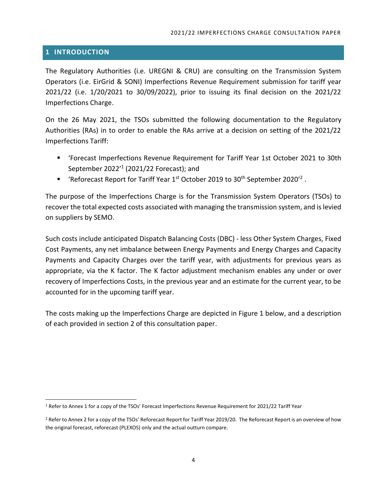#### <span id="page-4-0"></span>**1 INTRODUCTION**

The Regulatory Authorities (i.e. UREGNI & CRU) are consulting on the Transmission System Operators (i.e. EirGrid & SONI) Imperfections Revenue Requirement submission for tariff year 2021/22 (i.e. 1/20/2021 to 30/09/2022), prior to issuing its final decision on the 2021/22 Imperfections Charge.

On the 26 May 2021, the TSOs submitted the following documentation to the Regulatory Authorities (RAs) in to order to enable the RAs arrive at a decision on setting of the 2021/22 Imperfections Tariff:

- 'Forecast Imperfections Revenue Requirement for Tariff Year 1st October 2021 to 30th September 2022' 1 (2021/22 Forecast); and
- **■** 'Reforecast Report for Tariff Year  $1^{st}$  October 2019 to 30<sup>th</sup> September 2020<sup>'2</sup>.

The purpose of the Imperfections Charge is for the Transmission System Operators (TSOs) to recover the total expected costs associated with managing the transmission system, and is levied on suppliers by SEMO.

Such costs include anticipated Dispatch Balancing Costs (DBC) - less Other System Charges, Fixed Cost Payments, any net imbalance between Energy Payments and Energy Charges and Capacity Payments and Capacity Charges over the tariff year, with adjustments for previous years as appropriate, via the K factor. The K factor adjustment mechanism enables any under or over recovery of Imperfections Costs, in the previous year and an estimate for the current year, to be accounted for in the upcoming tariff year.

The costs making up the Imperfections Charge are depicted in Figure 1 below, and a description of each provided in section 2 of this consultation paper.

<sup>1</sup> Refer to Annex 1 for a copy of the TSOs' Forecast Imperfections Revenue Requirement for 2021/22 Tariff Year

<sup>&</sup>lt;sup>2</sup> Refer to Annex 2 for a copy of the TSOs' Reforecast Report for Tariff Year 2019/20. The Reforecast Report is an overview of how the original forecast, reforecast (PLEXOS) only and the actual outturn compare.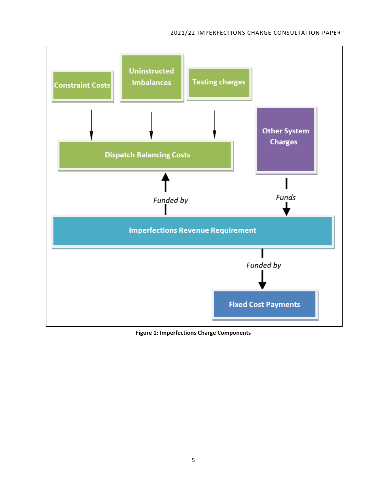#### 2021/22 IMPERFECTIONS CHARGE CONSULTATION PAPER



**Figure 1: Imperfections Charge Components**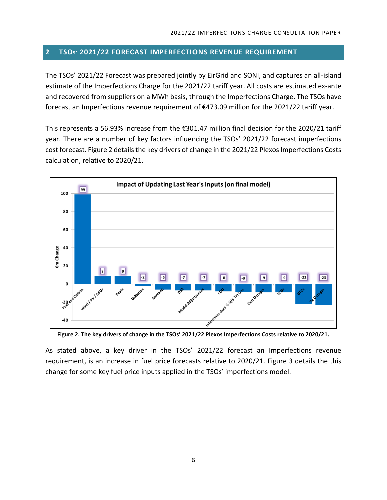#### <span id="page-6-0"></span>**2 TSOS' 2021/22 FORECAST IMPERFECTIONS REVENUE REQUIREMENT**

The TSOs' 2021/22 Forecast was prepared jointly by EirGrid and SONI, and captures an all-island estimate of the Imperfections Charge for the 2021/22 tariff year. All costs are estimated ex-ante and recovered from suppliers on a MWh basis, through the Imperfections Charge. The TSOs have forecast an Imperfections revenue requirement of €473.09 million for the 2021/22 tariff year.

This represents a 56.93% increase from the  $\epsilon$ 301.47 million final decision for the 2020/21 tariff year. There are a number of key factors influencing the TSOs' 2021/22 forecast imperfections cost forecast. Figure 2 details the key drivers of change in the 2021/22 Plexos Imperfections Costs calculation, relative to 2020/21.



**Figure 2. The key drivers of change in the TSOs' 2021/22 Plexos Imperfections Costs relative to 2020/21.**

As stated above, a key driver in the TSOs' 2021/22 forecast an Imperfections revenue requirement, is an increase in fuel price forecasts relative to 2020/21. Figure 3 details the this change for some key fuel price inputs applied in the TSOs' imperfections model.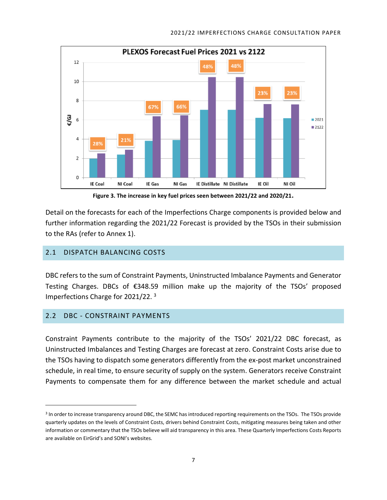

**Figure 3. The increase in key fuel prices seen between 2021/22 and 2020/21.**

Detail on the forecasts for each of the Imperfections Charge components is provided below and further information regarding the 2021/22 Forecast is provided by the TSOs in their submission to the RAs (refer to Annex 1).

#### <span id="page-7-0"></span>2.1 DISPATCH BALANCING COSTS

DBC refers to the sum of Constraint Payments, Uninstructed Imbalance Payments and Generator Testing Charges. DBCs of €348.59 million make up the majority of the TSOs' proposed Imperfections Charge for 2021/22. 3

#### <span id="page-7-1"></span>2.2 DBC - CONSTRAINT PAYMENTS

Constraint Payments contribute to the majority of the TSOs' 2021/22 DBC forecast, as Uninstructed Imbalances and Testing Charges are forecast at zero. Constraint Costs arise due to the TSOs having to dispatch some generators differently from the ex-post market unconstrained schedule, in real time, to ensure security of supply on the system. Generators receive Constraint Payments to compensate them for any difference between the market schedule and actual

<sup>&</sup>lt;sup>3</sup> In order to increase transparency around DBC, the SEMC has introduced reporting requirements on the TSOs. The TSOs provide quarterly updates on the levels of Constraint Costs, drivers behind Constraint Costs, mitigating measures being taken and other information or commentary that the TSOs believe will aid transparency in this area. These Quarterly Imperfections Costs Reports are available on EirGrid's and SONI's websites.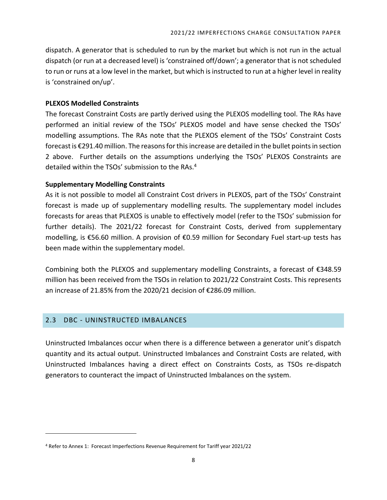dispatch. A generator that is scheduled to run by the market but which is not run in the actual dispatch (or run at a decreased level) is 'constrained off/down'; a generator that is not scheduled to run or runs at a low level in the market, but which is instructed to run at a higher level in reality is 'constrained on/up'.

#### **PLEXOS Modelled Constraints**

The forecast Constraint Costs are partly derived using the PLEXOS modelling tool. The RAs have performed an initial review of the TSOs' PLEXOS model and have sense checked the TSOs' modelling assumptions. The RAs note that the PLEXOS element of the TSOs' Constraint Costs forecast is €291.40 million. The reasons for this increase are detailed in the bullet points in section 2 above. Further details on the assumptions underlying the TSOs' PLEXOS Constraints are detailed within the TSOs' submission to the RAs.<sup>4</sup>

#### **Supplementary Modelling Constraints**

As it is not possible to model all Constraint Cost drivers in PLEXOS, part of the TSOs' Constraint forecast is made up of supplementary modelling results. The supplementary model includes forecasts for areas that PLEXOS is unable to effectively model (refer to the TSOs' submission for further details). The 2021/22 forecast for Constraint Costs, derived from supplementary modelling, is €56.60 million. A provision of €0.59 million for Secondary Fuel start-up tests has been made within the supplementary model.

Combining both the PLEXOS and supplementary modelling Constraints, a forecast of €348.59 million has been received from the TSOs in relation to 2021/22 Constraint Costs. This represents an increase of 21.85% from the 2020/21 decision of €286.09 million.

#### <span id="page-8-0"></span>2.3 DBC - UNINSTRUCTED IMBALANCES

Uninstructed Imbalances occur when there is a difference between a generator unit's dispatch quantity and its actual output. Uninstructed Imbalances and Constraint Costs are related, with Uninstructed Imbalances having a direct effect on Constraints Costs, as TSOs re-dispatch generators to counteract the impact of Uninstructed Imbalances on the system.

<sup>4</sup> Refer to Annex 1: Forecast Imperfections Revenue Requirement for Tariff year 2021/22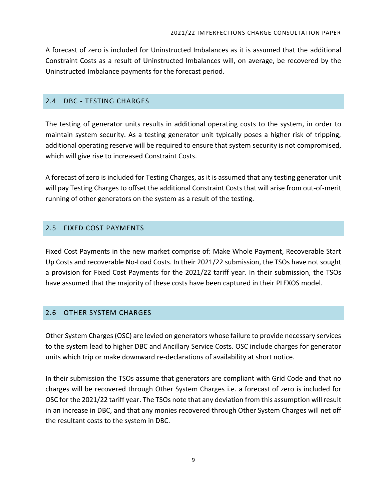A forecast of zero is included for Uninstructed Imbalances as it is assumed that the additional Constraint Costs as a result of Uninstructed Imbalances will, on average, be recovered by the Uninstructed Imbalance payments for the forecast period.

#### <span id="page-9-0"></span>2.4 DBC - TESTING CHARGES

The testing of generator units results in additional operating costs to the system, in order to maintain system security. As a testing generator unit typically poses a higher risk of tripping, additional operating reserve will be required to ensure that system security is not compromised, which will give rise to increased Constraint Costs.

A forecast of zero is included for Testing Charges, as it is assumed that any testing generator unit will pay Testing Charges to offset the additional Constraint Costs that will arise from out-of-merit running of other generators on the system as a result of the testing.

#### <span id="page-9-1"></span>2.5 FIXED COST PAYMENTS

Fixed Cost Payments in the new market comprise of: Make Whole Payment, Recoverable Start Up Costs and recoverable No-Load Costs. In their 2021/22 submission, the TSOs have not sought a provision for Fixed Cost Payments for the 2021/22 tariff year. In their submission, the TSOs have assumed that the majority of these costs have been captured in their PLEXOS model.

#### <span id="page-9-2"></span>2.6 OTHER SYSTEM CHARGES

Other System Charges (OSC) are levied on generators whose failure to provide necessary services to the system lead to higher DBC and Ancillary Service Costs. OSC include charges for generator units which trip or make downward re-declarations of availability at short notice.

In their submission the TSOs assume that generators are compliant with Grid Code and that no charges will be recovered through Other System Charges i.e. a forecast of zero is included for OSC for the 2021/22 tariff year. The TSOs note that any deviation from this assumption will result in an increase in DBC, and that any monies recovered through Other System Charges will net off the resultant costs to the system in DBC.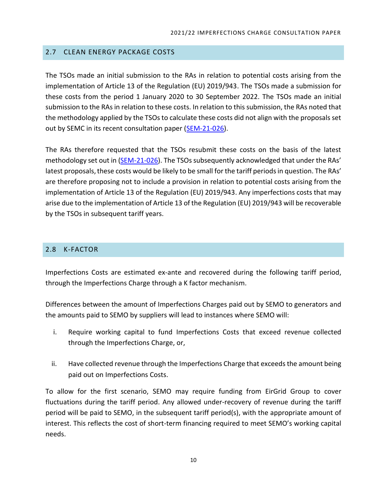#### <span id="page-10-0"></span>2.7 CLEAN ENERGY PACKAGE COSTS

The TSOs made an initial submission to the RAs in relation to potential costs arising from the implementation of Article 13 of the Regulation (EU) 2019/943. The TSOs made a submission for these costs from the period 1 January 2020 to 30 September 2022. The TSOs made an initial submission to the RAs in relation to these costs. In relation to this submission, the RAs noted that the methodology applied by the TSOs to calculate these costs did not align with the proposals set out by SEMC in its recent consultation paper [\(SEM-21-026\)](https://www.semcommittee.com/sites/semc/files/media-files/SEM-21-026%20Consultation%20on%20Dispatch%2C%20Redispatch%20and%20Compensation%20Pursuant%20to%20Regulation%20EU%202019943.pdf).

The RAs therefore requested that the TSOs resubmit these costs on the basis of the latest methodology set out in [\(SEM-21-026\)](https://www.semcommittee.com/sites/semc/files/media-files/SEM-21-026%20Consultation%20on%20Dispatch%2C%20Redispatch%20and%20Compensation%20Pursuant%20to%20Regulation%20EU%202019943.pdf). The TSOs subsequently acknowledged that under the RAs' latest proposals, these costs would be likely to be small for the tariff periods in question. The RAs' are therefore proposing not to include a provision in relation to potential costs arising from the implementation of Article 13 of the Regulation (EU) 2019/943. Any imperfections costs that may arise due to the implementation of Article 13 of the Regulation (EU) 2019/943 will be recoverable by the TSOs in subsequent tariff years.

#### <span id="page-10-1"></span>2.8 K-FACTOR

Imperfections Costs are estimated ex-ante and recovered during the following tariff period, through the Imperfections Charge through a K factor mechanism.

Differences between the amount of Imperfections Charges paid out by SEMO to generators and the amounts paid to SEMO by suppliers will lead to instances where SEMO will:

- i. Require working capital to fund Imperfections Costs that exceed revenue collected through the Imperfections Charge, or,
- ii. Have collected revenue through the Imperfections Charge that exceeds the amount being paid out on Imperfections Costs.

To allow for the first scenario, SEMO may require funding from EirGrid Group to cover fluctuations during the tariff period. Any allowed under-recovery of revenue during the tariff period will be paid to SEMO, in the subsequent tariff period(s), with the appropriate amount of interest. This reflects the cost of short-term financing required to meet SEMO's working capital needs.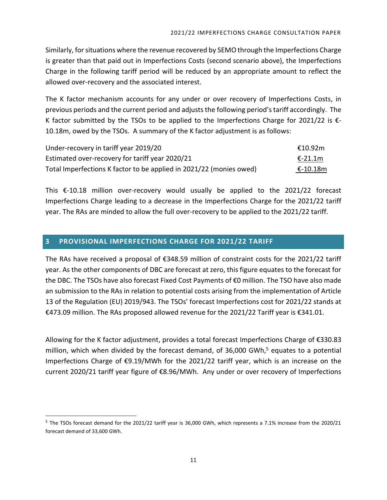Similarly, for situations where the revenue recovered by SEMO through the Imperfections Charge is greater than that paid out in Imperfections Costs (second scenario above), the Imperfections Charge in the following tariff period will be reduced by an appropriate amount to reflect the allowed over-recovery and the associated interest.

The K factor mechanism accounts for any under or over recovery of Imperfections Costs, in previous periods and the current period and adjusts the following period's tariff accordingly. The K factor submitted by the TSOs to be applied to the Imperfections Charge for 2021/22 is  $\epsilon$ -10.18m, owed by the TSOs. A summary of the K factor adjustment is as follows:

| Under-recovery in tariff year 2019/20                               | €10.92m   |
|---------------------------------------------------------------------|-----------|
| Estimated over-recovery for tariff year 2020/21                     | $E-21.1m$ |
| Total Imperfections K factor to be applied in 2021/22 (monies owed) | €-10.18m  |

This  $\epsilon$ -10.18 million over-recovery would usually be applied to the 2021/22 forecast Imperfections Charge leading to a decrease in the Imperfections Charge for the 2021/22 tariff year. The RAs are minded to allow the full over-recovery to be applied to the 2021/22 tariff.

#### <span id="page-11-0"></span>**3 PROVISIONAL IMPERFECTIONS CHARGE FOR 2021/22 TARIFF**

The RAs have received a proposal of €348.59 million of constraint costs for the 2021/22 tariff year. As the other components of DBC are forecast at zero, this figure equates to the forecast for the DBC. The TSOs have also forecast Fixed Cost Payments of €0 million. The TSO have also made an submission to the RAs in relation to potential costs arising from the implementation of Article 13 of the Regulation (EU) 2019/943. The TSOs' forecast Imperfections cost for 2021/22 stands at €473.09 million. The RAs proposed allowed revenue for the 2021/22 Tariff year is €341.01.

Allowing for the K factor adjustment, provides a total forecast Imperfections Charge of €330.83 million, which when divided by the forecast demand, of 36,000 GWh, <sup>5</sup> equates to a potential Imperfections Charge of €9.19/MWh for the 2021/22 tariff year, which is an increase on the current 2020/21 tariff year figure of €8.96/MWh. Any under or over recovery of Imperfections

<sup>&</sup>lt;sup>5</sup> The TSOs forecast demand for the 2021/22 tariff year is 36,000 GWh, which represents a 7.1% increase from the 2020/21 forecast demand of 33,600 GWh.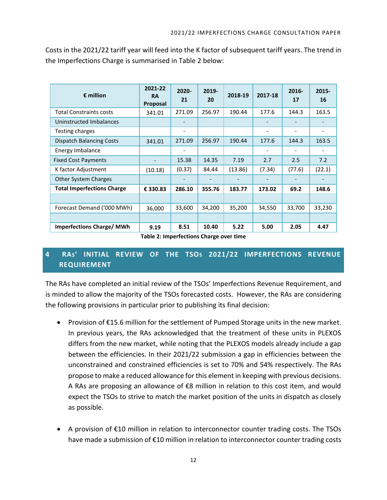| Costs in the 2021/22 tariff year will feed into the K factor of subsequent tariff years. The trend in |  |
|-------------------------------------------------------------------------------------------------------|--|
| the Imperfections Charge is summarised in Table 2 below:                                              |  |

| $\epsilon$ million                | 2021-22<br><b>RA</b><br>Proposal | 2020-<br>21              | 2019-<br>20 | 2018-19 | 2017-18                  | $2016 -$<br>17 | 2015-<br>16 |
|-----------------------------------|----------------------------------|--------------------------|-------------|---------|--------------------------|----------------|-------------|
| <b>Total Constraints costs</b>    | 341.01                           | 271.09                   | 256.97      | 190.44  | 177.6                    | 144.3          | 163.5       |
| Uninstructed Imbalances           |                                  |                          |             |         |                          |                |             |
| Testing charges                   |                                  | -                        |             |         | $\overline{\phantom{a}}$ | -              | -           |
| <b>Dispatch Balancing Costs</b>   | 341.01                           | 271.09                   | 256.97      | 190.44  | 177.6                    | 144.3          | 163.5       |
| Energy Imbalance                  |                                  |                          |             |         |                          |                |             |
| <b>Fixed Cost Payments</b>        |                                  | 15.38                    | 14.35       | 7.19    | 2.7                      | 2.5            | 7.2         |
| K factor Adjustment               | (10.18)                          | (0.37)                   | 84.44       | (13.86) | (7.34)                   | (77.6)         | (22.1)      |
| <b>Other System Charges</b>       |                                  | $\overline{\phantom{a}}$ |             |         |                          |                |             |
| <b>Total Imperfections Charge</b> | € 330.83                         | 286.10                   | 355.76      | 183.77  | 173.02                   | 69.2           | 148.6       |
|                                   |                                  |                          |             |         |                          |                |             |
| Forecast Demand ('000 MWh)        | 36,000                           | 33,600                   | 34,200      | 35,200  | 34,550                   | 33,700         | 33,230      |
|                                   |                                  |                          |             |         |                          |                |             |
| <b>Imperfections Charge/MWh</b>   | 9.19                             | 8.51                     | 10.40       | 5.22    | 5.00                     | 2.05           | 4.47        |

**Table 2: Imperfections Charge over time**

### <span id="page-12-0"></span>**4 RAS' INITIAL REVIEW OF THE TSOS 2021/22 IMPERFECTIONS REVENUE REQUIREMENT**

The RAs have completed an initial review of the TSOs' Imperfections Revenue Requirement, and is minded to allow the majority of the TSOs forecasted costs. However, the RAs are considering the following provisions in particular prior to publishing its final decision:

- Provision of €15.6 million for the settlement of Pumped Storage units in the new market. In previous years, the RAs acknowledged that the treatment of these units in PLEXOS differs from the new market, while noting that the PLEXOS models already include a gap between the efficiencies. In their 2021/22 submission a gap in efficiencies between the unconstrained and constrained efficiencies is set to 70% and 54% respectively. The RAs propose to make a reduced allowance for this element in keeping with previous decisions. A RAs are proposing an allowance of €8 million in relation to this cost item, and would expect the TSOs to strive to match the market position of the units in dispatch as closely as possible.
- A provision of €10 million in relation to interconnector counter trading costs. The TSOs have made a submission of €10 million in relation to interconnector counter trading costs